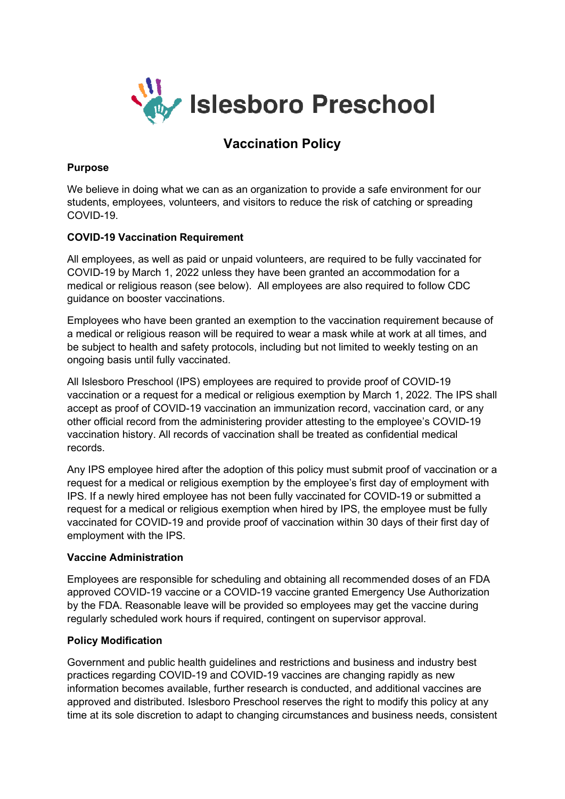

# **Vaccination Policy**

#### **Purpose**

We believe in doing what we can as an organization to provide a safe environment for our students, employees, volunteers, and visitors to reduce the risk of catching or spreading COVID-19.

#### **COVID-19 Vaccination Requirement**

All employees, as well as paid or unpaid volunteers, are required to be fully vaccinated for COVID-19 by March 1, 2022 unless they have been granted an accommodation for a medical or religious reason (see below). All employees are also required to follow CDC guidance on booster vaccinations.

Employees who have been granted an exemption to the vaccination requirement because of a medical or religious reason will be required to wear a mask while at work at all times, and be subject to health and safety protocols, including but not limited to weekly testing on an ongoing basis until fully vaccinated.

All Islesboro Preschool (IPS) employees are required to provide proof of COVID-19 vaccination or a request for a medical or religious exemption by March 1, 2022. The IPS shall accept as proof of COVID-19 vaccination an immunization record, vaccination card, or any other official record from the administering provider attesting to the employee's COVID-19 vaccination history. All records of vaccination shall be treated as confidential medical records.

Any IPS employee hired after the adoption of this policy must submit proof of vaccination or a request for a medical or religious exemption by the employee's first day of employment with IPS. If a newly hired employee has not been fully vaccinated for COVID-19 or submitted a request for a medical or religious exemption when hired by IPS, the employee must be fully vaccinated for COVID-19 and provide proof of vaccination within 30 days of their first day of employment with the IPS.

## **Vaccine Administration**

Employees are responsible for scheduling and obtaining all recommended doses of an FDA approved COVID-19 vaccine or a COVID-19 vaccine granted Emergency Use Authorization by the FDA. Reasonable leave will be provided so employees may get the vaccine during regularly scheduled work hours if required, contingent on supervisor approval.

## **Policy Modification**

Government and public health guidelines and restrictions and business and industry best practices regarding COVID-19 and COVID-19 vaccines are changing rapidly as new information becomes available, further research is conducted, and additional vaccines are approved and distributed. Islesboro Preschool reserves the right to modify this policy at any time at its sole discretion to adapt to changing circumstances and business needs, consistent